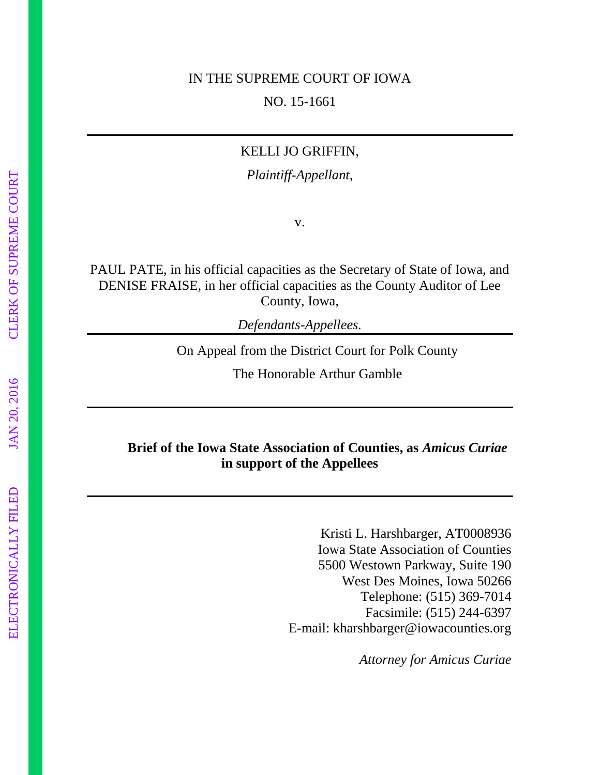#### IN THE SUPREME COURT OF IOWA

NO. 15-1661

#### KELLI JO GRIFFIN,

*Plaintiff-Appellant*,

v.

PAUL PATE, in his official capacities as the Secretary of State of Iowa, and DENISE FRAISE, in her official capacities as the County Auditor of Lee County, Iowa,

*Defendants-Appellees.*

On Appeal from the District Court for Polk County

The Honorable Arthur Gamble

## **Brief of the Iowa State Association of Counties, as** *Amicus Curiae* **in support of the Appellees**

Kristi L. Harshbarger, AT0008936 Iowa State Association of Counties 5500 Westown Parkway, Suite 190 West Des Moines, Iowa 50266 Telephone: (515) 369-7014 Facsimile: (515) 244-6397 E-mail: kharshbarger@iowacounties.org

*Attorney for Amicus Curiae*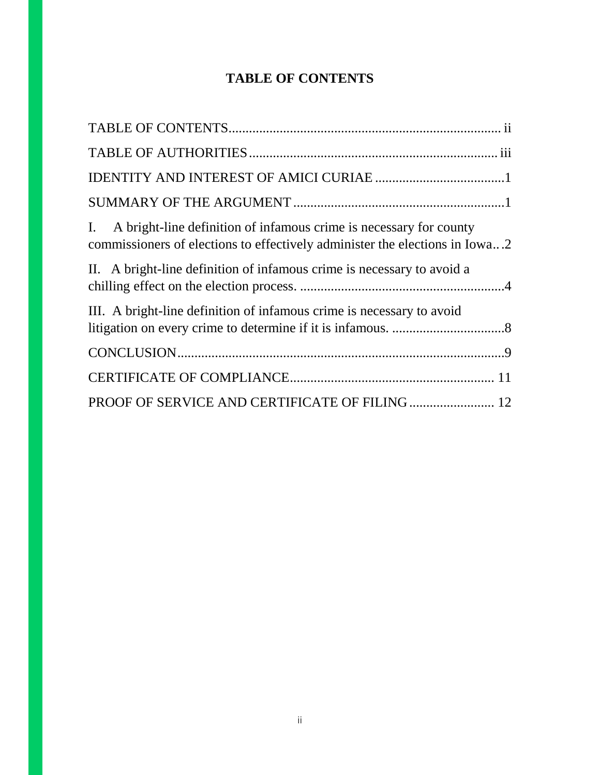# **TABLE OF CONTENTS**

| I. A bright-line definition of infamous crime is necessary for county<br>commissioners of elections to effectively administer the elections in Iowa2 |
|------------------------------------------------------------------------------------------------------------------------------------------------------|
| II. A bright-line definition of infamous crime is necessary to avoid a                                                                               |
| III. A bright-line definition of infamous crime is necessary to avoid                                                                                |
|                                                                                                                                                      |
|                                                                                                                                                      |
|                                                                                                                                                      |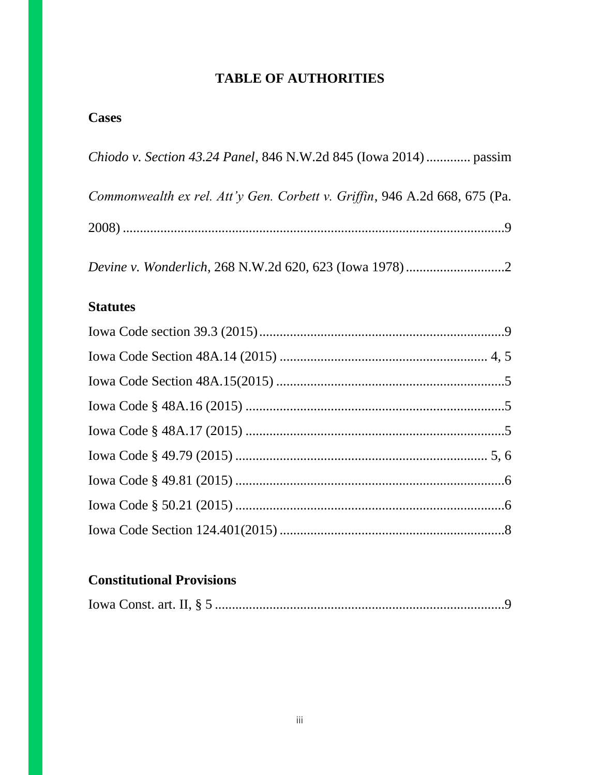# **TABLE OF AUTHORITIES**

## **Cases**

| Chiodo v. Section 43.24 Panel, 846 N.W.2d 845 (Iowa 2014)  passim          |
|----------------------------------------------------------------------------|
| Commonwealth ex rel. Att'y Gen. Corbett v. Griffin, 946 A.2d 668, 675 (Pa. |
|                                                                            |
|                                                                            |

### **Statutes**

# **Constitutional Provisions**

|--|--|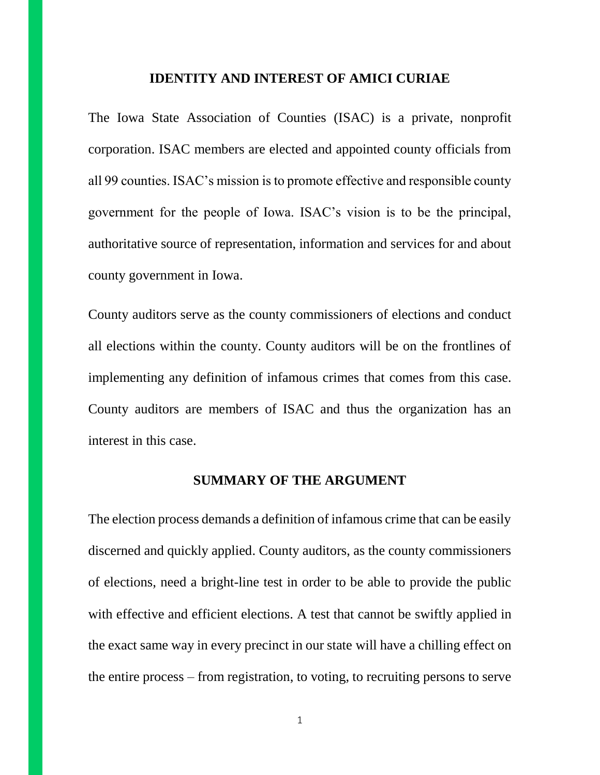#### **IDENTITY AND INTEREST OF AMICI CURIAE**

The Iowa State Association of Counties (ISAC) is a private, nonprofit corporation. ISAC members are elected and appointed county officials from all 99 counties. ISAC's mission is to promote effective and responsible county government for the people of Iowa. ISAC's vision is to be the principal, authoritative source of representation, information and services for and about county government in Iowa.

County auditors serve as the county commissioners of elections and conduct all elections within the county. County auditors will be on the frontlines of implementing any definition of infamous crimes that comes from this case. County auditors are members of ISAC and thus the organization has an interest in this case.

#### **SUMMARY OF THE ARGUMENT**

The election process demands a definition of infamous crime that can be easily discerned and quickly applied. County auditors, as the county commissioners of elections, need a bright-line test in order to be able to provide the public with effective and efficient elections. A test that cannot be swiftly applied in the exact same way in every precinct in our state will have a chilling effect on the entire process – from registration, to voting, to recruiting persons to serve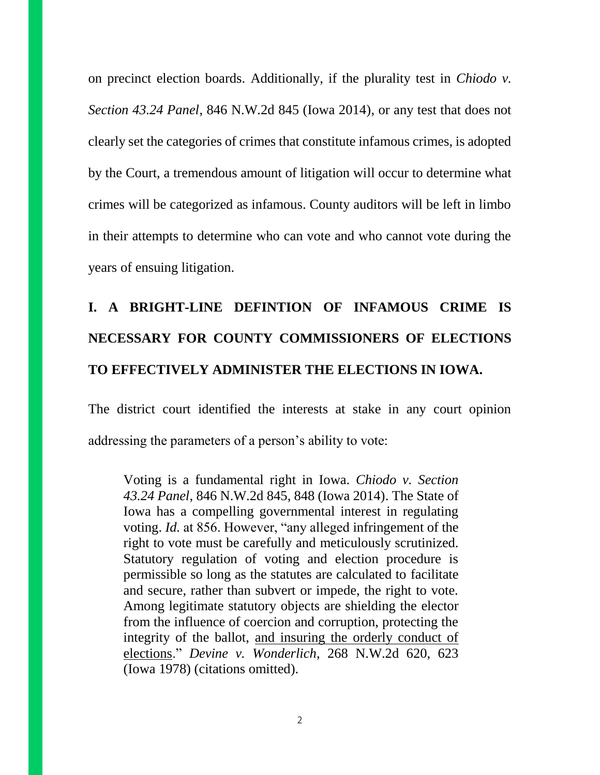on precinct election boards. Additionally, if the plurality test in *Chiodo v. Section 43.24 Panel*, 846 N.W.2d 845 (Iowa 2014), or any test that does not clearly set the categories of crimes that constitute infamous crimes, is adopted by the Court, a tremendous amount of litigation will occur to determine what crimes will be categorized as infamous. County auditors will be left in limbo in their attempts to determine who can vote and who cannot vote during the years of ensuing litigation.

# **I. A BRIGHT-LINE DEFINTION OF INFAMOUS CRIME IS NECESSARY FOR COUNTY COMMISSIONERS OF ELECTIONS TO EFFECTIVELY ADMINISTER THE ELECTIONS IN IOWA.**

The district court identified the interests at stake in any court opinion addressing the parameters of a person's ability to vote:

Voting is a fundamental right in Iowa. *Chiodo v. Section 43.24 Panel*, 846 N.W.2d 845, 848 (Iowa 2014). The State of Iowa has a compelling governmental interest in regulating voting. *Id.* at 856. However, "any alleged infringement of the right to vote must be carefully and meticulously scrutinized. Statutory regulation of voting and election procedure is permissible so long as the statutes are calculated to facilitate and secure, rather than subvert or impede, the right to vote. Among legitimate statutory objects are shielding the elector from the influence of coercion and corruption, protecting the integrity of the ballot, and insuring the orderly conduct of elections." *Devine v. Wonderlich*, 268 N.W.2d 620, 623 (Iowa 1978) (citations omitted).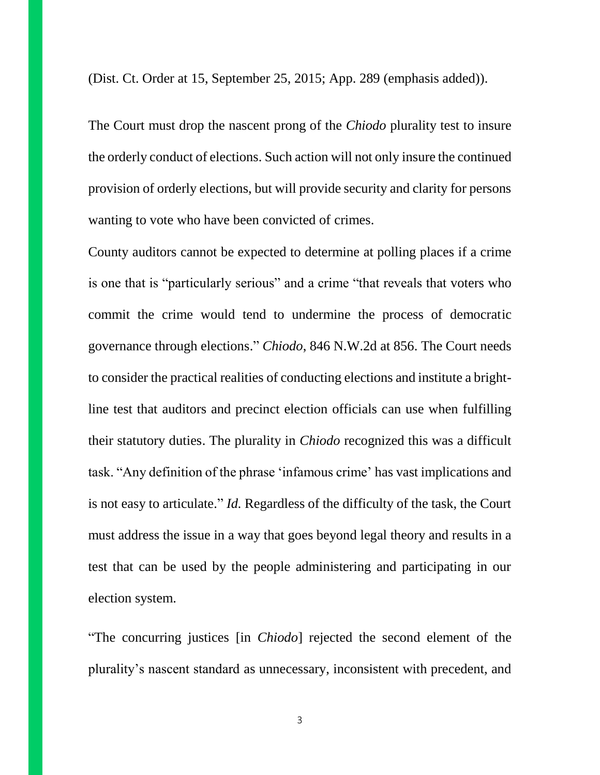(Dist. Ct. Order at 15, September 25, 2015; App. 289 (emphasis added)).

The Court must drop the nascent prong of the *Chiodo* plurality test to insure the orderly conduct of elections. Such action will not only insure the continued provision of orderly elections, but will provide security and clarity for persons wanting to vote who have been convicted of crimes.

County auditors cannot be expected to determine at polling places if a crime is one that is "particularly serious" and a crime "that reveals that voters who commit the crime would tend to undermine the process of democratic governance through elections." *Chiodo*, 846 N.W.2d at 856. The Court needs to consider the practical realities of conducting elections and institute a brightline test that auditors and precinct election officials can use when fulfilling their statutory duties. The plurality in *Chiodo* recognized this was a difficult task. "Any definition of the phrase 'infamous crime' has vast implications and is not easy to articulate." *Id.* Regardless of the difficulty of the task, the Court must address the issue in a way that goes beyond legal theory and results in a test that can be used by the people administering and participating in our election system.

"The concurring justices [in *Chiodo*] rejected the second element of the plurality's nascent standard as unnecessary, inconsistent with precedent, and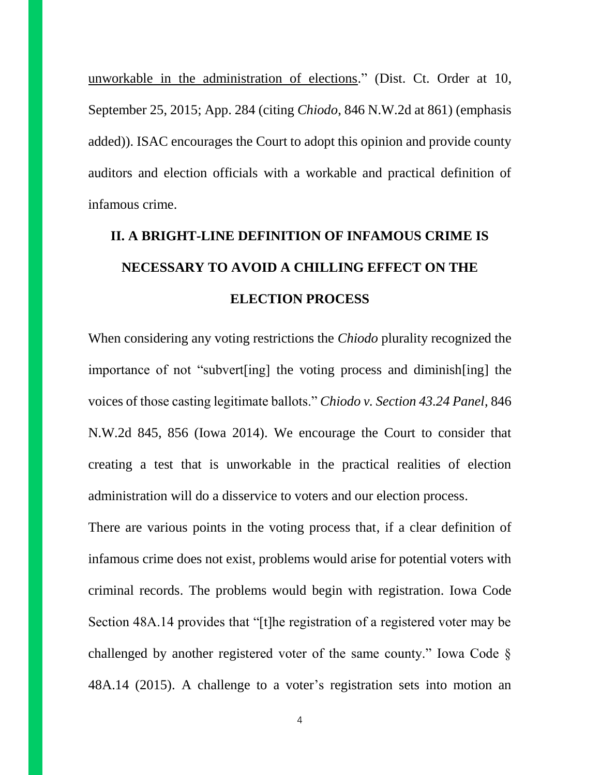unworkable in the administration of elections." (Dist. Ct. Order at 10, September 25, 2015; App. 284 (citing *Chiodo*, 846 N.W.2d at 861) (emphasis added)). ISAC encourages the Court to adopt this opinion and provide county auditors and election officials with a workable and practical definition of infamous crime.

# **II. A BRIGHT-LINE DEFINITION OF INFAMOUS CRIME IS NECESSARY TO AVOID A CHILLING EFFECT ON THE ELECTION PROCESS**

When considering any voting restrictions the *Chiodo* plurality recognized the importance of not "subvert[ing] the voting process and diminish[ing] the voices of those casting legitimate ballots." *Chiodo v. Section 43.24 Panel*, 846 N.W.2d 845, 856 (Iowa 2014). We encourage the Court to consider that creating a test that is unworkable in the practical realities of election administration will do a disservice to voters and our election process.

There are various points in the voting process that, if a clear definition of infamous crime does not exist, problems would arise for potential voters with criminal records. The problems would begin with registration. Iowa Code Section 48A.14 provides that "[t]he registration of a registered voter may be challenged by another registered voter of the same county." Iowa Code § 48A.14 (2015). A challenge to a voter's registration sets into motion an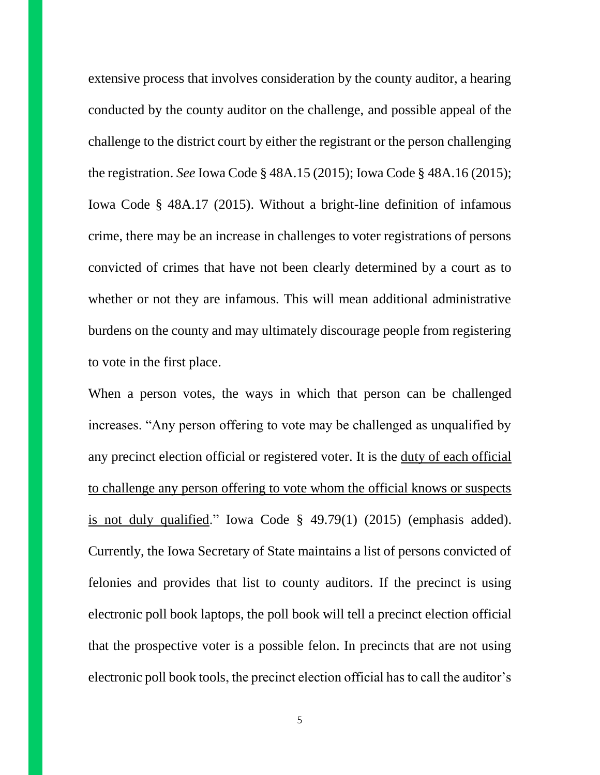extensive process that involves consideration by the county auditor, a hearing conducted by the county auditor on the challenge, and possible appeal of the challenge to the district court by either the registrant or the person challenging the registration. *See* Iowa Code § 48A.15 (2015); Iowa Code § 48A.16 (2015); Iowa Code § 48A.17 (2015). Without a bright-line definition of infamous crime, there may be an increase in challenges to voter registrations of persons convicted of crimes that have not been clearly determined by a court as to whether or not they are infamous. This will mean additional administrative burdens on the county and may ultimately discourage people from registering to vote in the first place.

When a person votes, the ways in which that person can be challenged increases. "Any person offering to vote may be challenged as unqualified by any precinct election official or registered voter. It is the duty of each official to challenge any person offering to vote whom the official knows or suspects is not duly qualified." Iowa Code § 49.79(1) (2015) (emphasis added). Currently, the Iowa Secretary of State maintains a list of persons convicted of felonies and provides that list to county auditors. If the precinct is using electronic poll book laptops, the poll book will tell a precinct election official that the prospective voter is a possible felon. In precincts that are not using electronic poll book tools, the precinct election official has to call the auditor's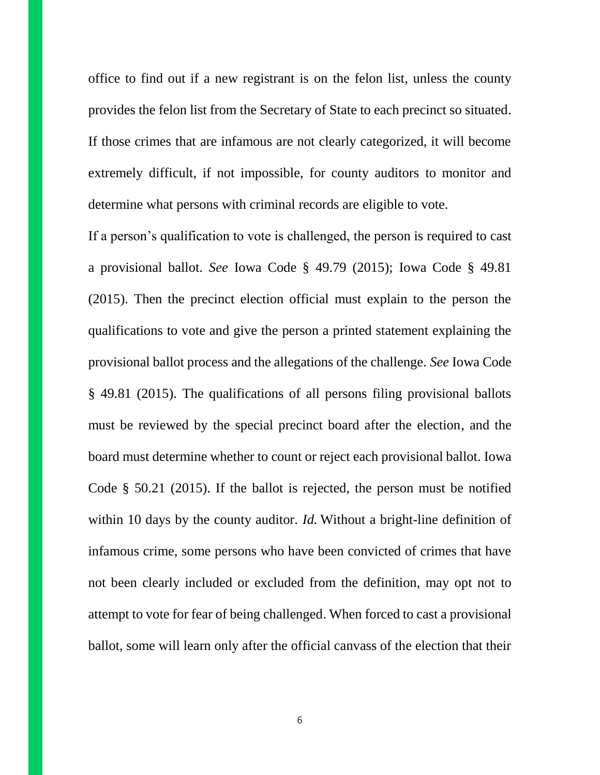office to find out if a new registrant is on the felon list, unless the county provides the felon list from the Secretary of State to each precinct so situated. If those crimes that are infamous are not clearly categorized, it will become extremely difficult, if not impossible, for county auditors to monitor and determine what persons with criminal records are eligible to vote.

If a person's qualification to vote is challenged, the person is required to cast a provisional ballot. *See* Iowa Code § 49.79 (2015); Iowa Code § 49.81 (2015). Then the precinct election official must explain to the person the qualifications to vote and give the person a printed statement explaining the provisional ballot process and the allegations of the challenge. *See* Iowa Code § 49.81 (2015). The qualifications of all persons filing provisional ballots must be reviewed by the special precinct board after the election, and the board must determine whether to count or reject each provisional ballot. Iowa Code § 50.21 (2015). If the ballot is rejected, the person must be notified within 10 days by the county auditor. *Id.* Without a bright-line definition of infamous crime, some persons who have been convicted of crimes that have not been clearly included or excluded from the definition, may opt not to attempt to vote for fear of being challenged. When forced to cast a provisional ballot, some will learn only after the official canvass of the election that their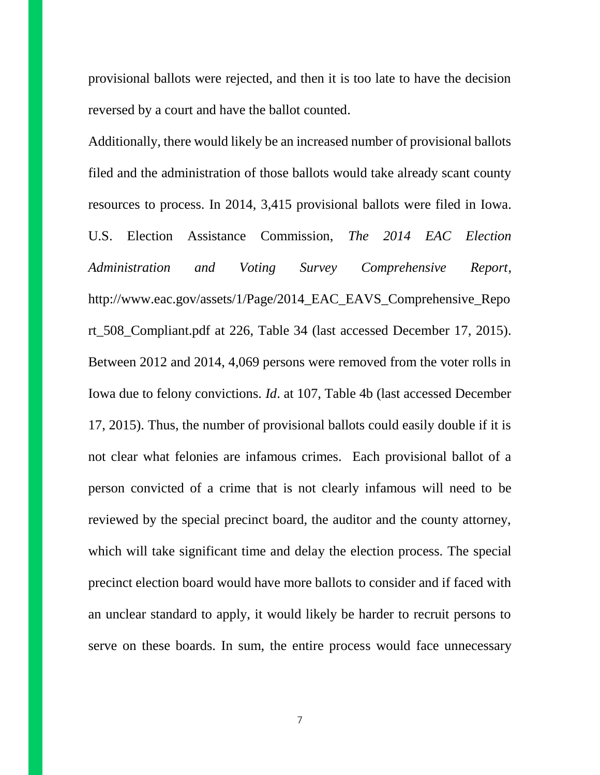provisional ballots were rejected, and then it is too late to have the decision reversed by a court and have the ballot counted.

Additionally, there would likely be an increased number of provisional ballots filed and the administration of those ballots would take already scant county resources to process. In 2014, 3,415 provisional ballots were filed in Iowa. U.S. Election Assistance Commission, *The 2014 EAC Election Administration and Voting Survey Comprehensive Report*, http://www.eac.gov/assets/1/Page/2014\_EAC\_EAVS\_Comprehensive\_Repo rt\_508\_Compliant.pdf at 226, Table 34 (last accessed December 17, 2015). Between 2012 and 2014, 4,069 persons were removed from the voter rolls in Iowa due to felony convictions. *Id*. at 107, Table 4b (last accessed December 17, 2015). Thus, the number of provisional ballots could easily double if it is not clear what felonies are infamous crimes. Each provisional ballot of a person convicted of a crime that is not clearly infamous will need to be reviewed by the special precinct board, the auditor and the county attorney, which will take significant time and delay the election process. The special precinct election board would have more ballots to consider and if faced with an unclear standard to apply, it would likely be harder to recruit persons to serve on these boards. In sum, the entire process would face unnecessary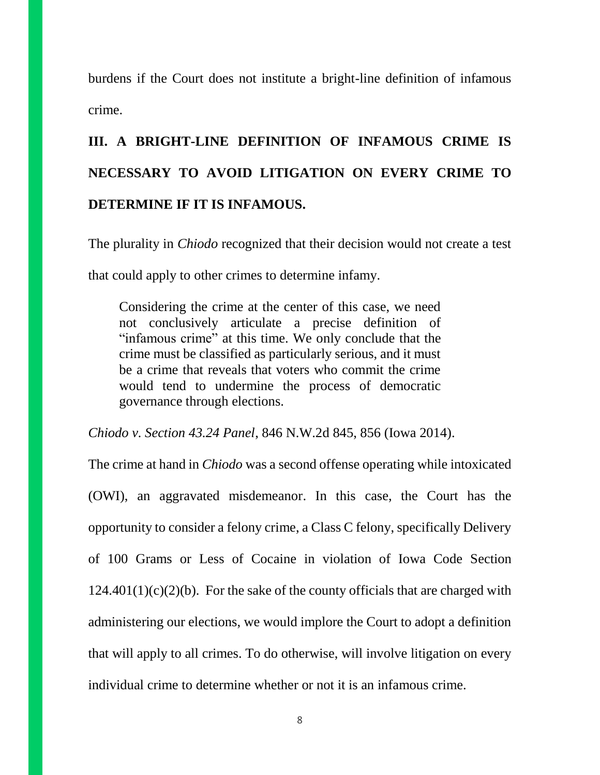burdens if the Court does not institute a bright-line definition of infamous crime.

# **III. A BRIGHT-LINE DEFINITION OF INFAMOUS CRIME IS NECESSARY TO AVOID LITIGATION ON EVERY CRIME TO DETERMINE IF IT IS INFAMOUS.**

The plurality in *Chiodo* recognized that their decision would not create a test that could apply to other crimes to determine infamy.

Considering the crime at the center of this case, we need not conclusively articulate a precise definition of "infamous crime" at this time. We only conclude that the crime must be classified as particularly serious, and it must be a crime that reveals that voters who commit the crime would tend to undermine the process of democratic governance through elections.

*Chiodo v. Section 43.24 Panel*, 846 N.W.2d 845, 856 (Iowa 2014).

The crime at hand in *Chiodo* was a second offense operating while intoxicated (OWI), an aggravated misdemeanor. In this case, the Court has the opportunity to consider a felony crime, a Class C felony, specifically Delivery of 100 Grams or Less of Cocaine in violation of Iowa Code Section  $124.401(1)(c)(2)(b)$ . For the sake of the county officials that are charged with administering our elections, we would implore the Court to adopt a definition that will apply to all crimes. To do otherwise, will involve litigation on every individual crime to determine whether or not it is an infamous crime.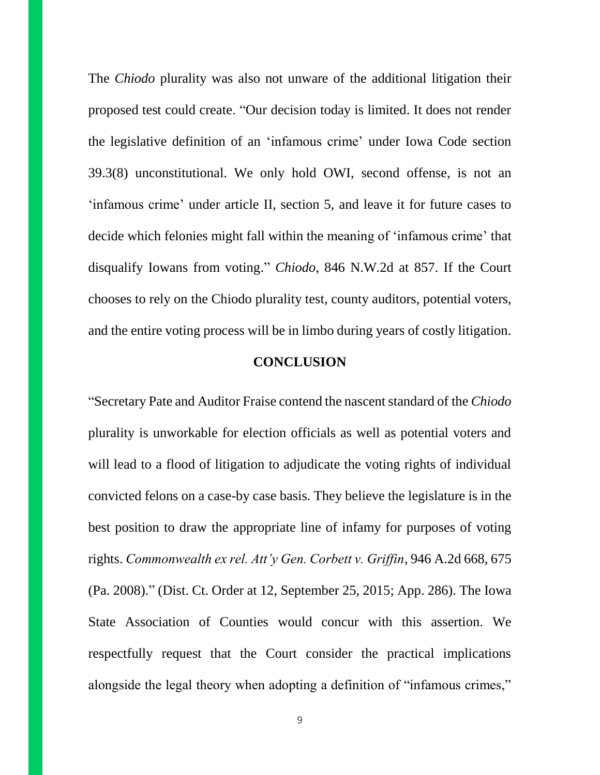The *Chiodo* plurality was also not unware of the additional litigation their proposed test could create. "Our decision today is limited. It does not render the legislative definition of an 'infamous crime' under Iowa Code section 39.3(8) unconstitutional. We only hold OWI, second offense, is not an 'infamous crime' under article II, section 5, and leave it for future cases to decide which felonies might fall within the meaning of 'infamous crime' that disqualify Iowans from voting." *Chiodo*, 846 N.W.2d at 857. If the Court chooses to rely on the Chiodo plurality test, county auditors, potential voters, and the entire voting process will be in limbo during years of costly litigation.

#### **CONCLUSION**

"Secretary Pate and Auditor Fraise contend the nascent standard of the *Chiodo*  plurality is unworkable for election officials as well as potential voters and will lead to a flood of litigation to adjudicate the voting rights of individual convicted felons on a case-by case basis. They believe the legislature is in the best position to draw the appropriate line of infamy for purposes of voting rights. *Commonwealth ex rel. Att'y Gen. Corbett v. Griffin*, 946 A.2d 668, 675 (Pa. 2008)." (Dist. Ct. Order at 12, September 25, 2015; App. 286). The Iowa State Association of Counties would concur with this assertion. We respectfully request that the Court consider the practical implications alongside the legal theory when adopting a definition of "infamous crimes,"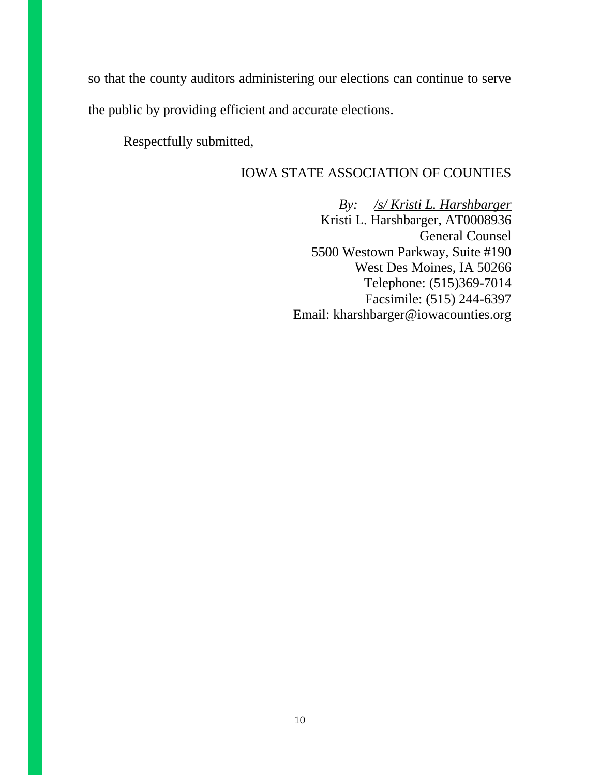so that the county auditors administering our elections can continue to serve the public by providing efficient and accurate elections.

Respectfully submitted,

### IOWA STATE ASSOCIATION OF COUNTIES

*By: /s/ Kristi L. Harshbarger* Kristi L. Harshbarger, AT0008936 General Counsel 5500 Westown Parkway, Suite #190 West Des Moines, IA 50266 Telephone: (515)369-7014 Facsimile: (515) 244-6397 Email: kharshbarger@iowacounties.org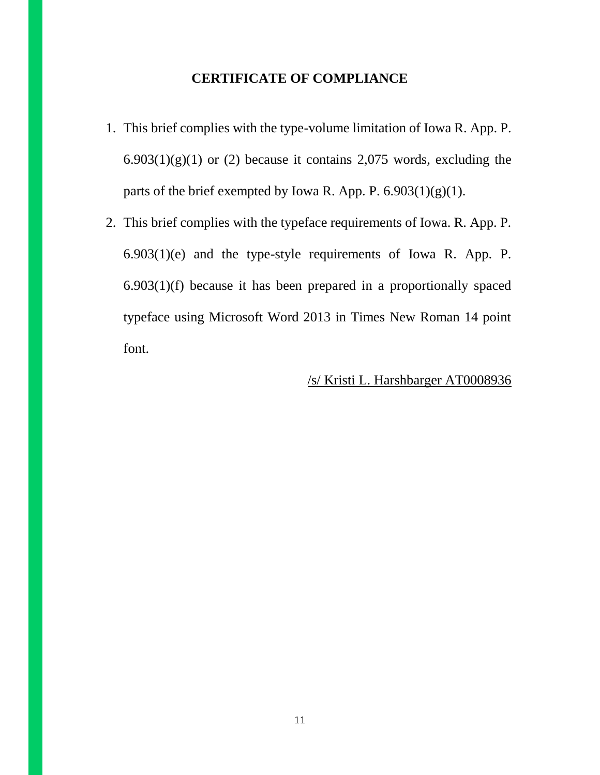## **CERTIFICATE OF COMPLIANCE**

- 1. This brief complies with the type-volume limitation of Iowa R. App. P.  $6.903(1)(g)(1)$  or (2) because it contains 2,075 words, excluding the parts of the brief exempted by Iowa R. App. P.  $6.903(1)(g)(1)$ .
- 2. This brief complies with the typeface requirements of Iowa. R. App. P. 6.903(1)(e) and the type-style requirements of Iowa R. App. P. 6.903(1)(f) because it has been prepared in a proportionally spaced typeface using Microsoft Word 2013 in Times New Roman 14 point font.

### /s/ Kristi L. Harshbarger AT0008936